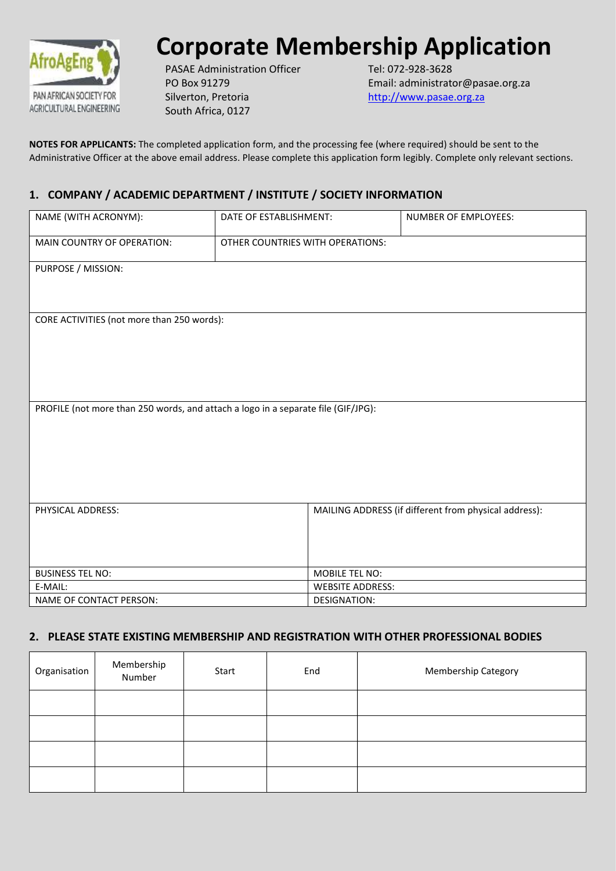

# **Corporate Membership Application**

PASAE Administration Officer PO Box 91279 Silverton, Pretoria South Africa, 0127

Tel: 072-928-3628 Email: administrator@pasae.org.za [http://www.pasae.org.za](http://www.pasae.org.za/)

**NOTES FOR APPLICANTS:** The completed application form, and the processing fee (where required) should be sent to the Administrative Officer at the above email address. Please complete this application form legibly. Complete only relevant sections.

## **1. COMPANY / ACADEMIC DEPARTMENT / INSTITUTE / SOCIETY INFORMATION**

| NAME (WITH ACRONYM):                       | DATE OF ESTABLISHMENT:                                                            | NUMBER OF EMPLOYEES:                                  |  |  |  |
|--------------------------------------------|-----------------------------------------------------------------------------------|-------------------------------------------------------|--|--|--|
| MAIN COUNTRY OF OPERATION:                 | OTHER COUNTRIES WITH OPERATIONS:                                                  |                                                       |  |  |  |
| PURPOSE / MISSION:                         |                                                                                   |                                                       |  |  |  |
|                                            |                                                                                   |                                                       |  |  |  |
| CORE ACTIVITIES (not more than 250 words): |                                                                                   |                                                       |  |  |  |
|                                            |                                                                                   |                                                       |  |  |  |
|                                            |                                                                                   |                                                       |  |  |  |
|                                            |                                                                                   |                                                       |  |  |  |
|                                            |                                                                                   |                                                       |  |  |  |
|                                            | PROFILE (not more than 250 words, and attach a logo in a separate file (GIF/JPG): |                                                       |  |  |  |
|                                            |                                                                                   |                                                       |  |  |  |
|                                            |                                                                                   |                                                       |  |  |  |
|                                            |                                                                                   |                                                       |  |  |  |
|                                            |                                                                                   |                                                       |  |  |  |
| PHYSICAL ADDRESS:                          |                                                                                   | MAILING ADDRESS (if different from physical address): |  |  |  |
|                                            |                                                                                   |                                                       |  |  |  |
|                                            |                                                                                   |                                                       |  |  |  |
| <b>BUSINESS TEL NO:</b>                    | MOBILE TEL NO:                                                                    |                                                       |  |  |  |
| E-MAIL:                                    | <b>WEBSITE ADDRESS:</b>                                                           |                                                       |  |  |  |
| NAME OF CONTACT PERSON:                    | DESIGNATION:                                                                      |                                                       |  |  |  |

## **2. PLEASE STATE EXISTING MEMBERSHIP AND REGISTRATION WITH OTHER PROFESSIONAL BODIES**

| Organisation | Membership<br>Number | Start | End | Membership Category |
|--------------|----------------------|-------|-----|---------------------|
|              |                      |       |     |                     |
|              |                      |       |     |                     |
|              |                      |       |     |                     |
|              |                      |       |     |                     |